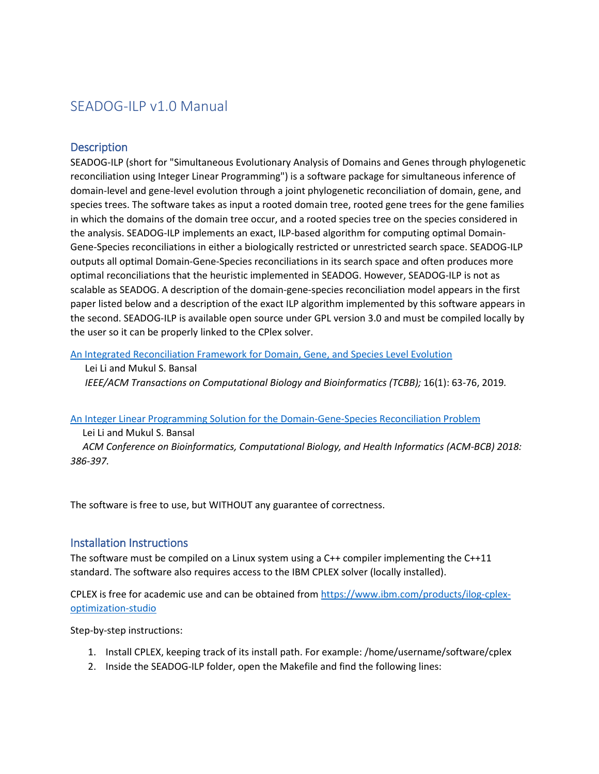# SEADOG-ILP v1.0 Manual

## **Description**

SEADOG-ILP (short for "Simultaneous Evolutionary Analysis of Domains and Genes through phylogenetic reconciliation using Integer Linear Programming") is a software package for simultaneous inference of domain-level and gene-level evolution through a joint phylogenetic reconciliation of domain, gene, and species trees. The software takes as input a rooted domain tree, rooted gene trees for the gene families in which the domains of the domain tree occur, and a rooted species tree on the species considered in the analysis. SEADOG-ILP implements an exact, ILP-based algorithm for computing optimal Domain-Gene-Species reconciliations in either a biologically restricted or unrestricted search space. SEADOG-ILP outputs all optimal Domain-Gene-Species reconciliations in its search space and often produces more optimal reconciliations that the heuristic implemented in SEADOG. However, SEADOG-ILP is not as scalable as SEADOG. A description of the domain-gene-species reconciliation model appears in the first paper listed below and a description of the exact ILP algorithm implemented by this software appears in the second. SEADOG-ILP is available open source under GPL version 3.0 and must be compiled locally by the user so it can be properly linked to the CPlex solver.

[An Integrated Reconciliation Framework for Domain, Gene, and Species Level Evolution](https://doi.org/10.1109/TCBB.2018.2846253)

#### Lei Li and Mukul S. Bansal

 *IEEE/ACM Transactions on Computational Biology and Bioinformatics (TCBB);* 16(1): 63-76, 2019*.*

#### [An Integer Linear Programming Solution for the Domain-Gene-Species Reconciliation Problem](https://compbio.engr.uconn.edu/wp-content/uploads/sites/2447/2018/06/DGSreconciliation_ACMBCB2018.pdf)

#### Lei Li and Mukul S. Bansal

 *ACM Conference on Bioinformatics, Computational Biology, and Health Informatics (ACM-BCB) 2018: 386-397.*

The software is free to use, but WITHOUT any guarantee of correctness.

### Installation Instructions

The software must be compiled on a Linux system using a C++ compiler implementing the C++11 standard. The software also requires access to the IBM CPLEX solver (locally installed).

CPLEX is free for academic use and can be obtained from [https://www.ibm.com/products/ilog-cplex](https://www.ibm.com/products/ilog-cplex-optimization-studio)[optimization-studio](https://www.ibm.com/products/ilog-cplex-optimization-studio)

Step-by-step instructions:

- 1. Install CPLEX, keeping track of its install path. For example: /home/username/software/cplex
- 2. Inside the SEADOG-ILP folder, open the Makefile and find the following lines: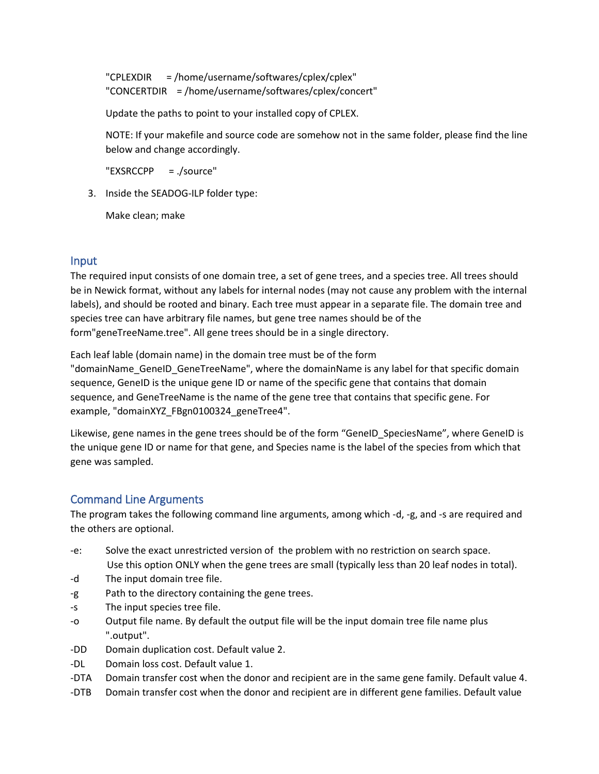"CPLEXDIR = /home/username/softwares/cplex/cplex" "CONCERTDIR = /home/username/softwares/cplex/concert"

Update the paths to point to your installed copy of CPLEX.

NOTE: If your makefile and source code are somehow not in the same folder, please find the line below and change accordingly.

"EXSRCCPP = ./source"

3. Inside the SEADOG-ILP folder type:

Make clean; make

# Input

The required input consists of one domain tree, a set of gene trees, and a species tree. All trees should be in Newick format, without any labels for internal nodes (may not cause any problem with the internal labels), and should be rooted and binary. Each tree must appear in a separate file. The domain tree and species tree can have arbitrary file names, but gene tree names should be of the form"geneTreeName.tree". All gene trees should be in a single directory.

Each leaf lable (domain name) in the domain tree must be of the form "domainName\_GeneID\_GeneTreeName", where the domainName is any label for that specific domain sequence, GeneID is the unique gene ID or name of the specific gene that contains that domain sequence, and GeneTreeName is the name of the gene tree that contains that specific gene. For example, "domainXYZ\_FBgn0100324\_geneTree4".

Likewise, gene names in the gene trees should be of the form "GeneID SpeciesName", where GeneID is the unique gene ID or name for that gene, and Species name is the label of the species from which that gene was sampled.

# Command Line Arguments

The program takes the following command line arguments, among which -d, -g, and -s are required and the others are optional.

- -e: Solve the exact unrestricted version of the problem with no restriction on search space. Use this option ONLY when the gene trees are small (typically less than 20 leaf nodes in total).
- -d The input domain tree file.
- -g Path to the directory containing the gene trees.
- -s The input species tree file.
- -o Output file name. By default the output file will be the input domain tree file name plus ".output".
- -DD Domain duplication cost. Default value 2.
- -DL Domain loss cost. Default value 1.
- -DTA Domain transfer cost when the donor and recipient are in the same gene family. Default value 4.
- -DTB Domain transfer cost when the donor and recipient are in different gene families. Default value